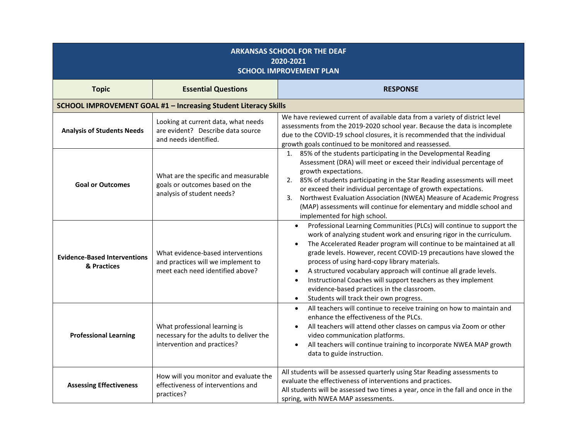| <b>ARKANSAS SCHOOL FOR THE DEAF</b><br>2020-2021<br><b>SCHOOL IMPROVEMENT PLAN</b> |                                                                                                             |                                                                                                                                                                                                                                                                                                                                                                                                                                                                                                                                                                                                                                             |  |  |  |
|------------------------------------------------------------------------------------|-------------------------------------------------------------------------------------------------------------|---------------------------------------------------------------------------------------------------------------------------------------------------------------------------------------------------------------------------------------------------------------------------------------------------------------------------------------------------------------------------------------------------------------------------------------------------------------------------------------------------------------------------------------------------------------------------------------------------------------------------------------------|--|--|--|
| <b>Topic</b>                                                                       | <b>Essential Questions</b>                                                                                  | <b>RESPONSE</b>                                                                                                                                                                                                                                                                                                                                                                                                                                                                                                                                                                                                                             |  |  |  |
|                                                                                    | SCHOOL IMPROVEMENT GOAL #1 - Increasing Student Literacy Skills                                             |                                                                                                                                                                                                                                                                                                                                                                                                                                                                                                                                                                                                                                             |  |  |  |
| <b>Analysis of Students Needs</b>                                                  | Looking at current data, what needs<br>are evident? Describe data source<br>and needs identified.           | We have reviewed current of available data from a variety of district level<br>assessments from the 2019-2020 school year. Because the data is incomplete<br>due to the COVID-19 school closures, it is recommended that the individual<br>growth goals continued to be monitored and reassessed.                                                                                                                                                                                                                                                                                                                                           |  |  |  |
| <b>Goal or Outcomes</b>                                                            | What are the specific and measurable<br>goals or outcomes based on the<br>analysis of student needs?        | 1. 85% of the students participating in the Developmental Reading<br>Assessment (DRA) will meet or exceed their individual percentage of<br>growth expectations.<br>2. 85% of students participating in the Star Reading assessments will meet<br>or exceed their individual percentage of growth expectations.<br>Northwest Evaluation Association (NWEA) Measure of Academic Progress<br>3.<br>(MAP) assessments will continue for elementary and middle school and<br>implemented for high school.                                                                                                                                       |  |  |  |
| <b>Evidence-Based Interventions</b><br>& Practices                                 | What evidence-based interventions<br>and practices will we implement to<br>meet each need identified above? | Professional Learning Communities (PLCs) will continue to support the<br>$\bullet$<br>work of analyzing student work and ensuring rigor in the curriculum.<br>The Accelerated Reader program will continue to be maintained at all<br>$\bullet$<br>grade levels. However, recent COVID-19 precautions have slowed the<br>process of using hard-copy library materials.<br>A structured vocabulary approach will continue all grade levels.<br>$\bullet$<br>Instructional Coaches will support teachers as they implement<br>$\bullet$<br>evidence-based practices in the classroom.<br>Students will track their own progress.<br>$\bullet$ |  |  |  |
| <b>Professional Learning</b>                                                       | What professional learning is<br>necessary for the adults to deliver the<br>intervention and practices?     | All teachers will continue to receive training on how to maintain and<br>$\bullet$<br>enhance the effectiveness of the PLCs.<br>All teachers will attend other classes on campus via Zoom or other<br>$\bullet$<br>video communication platforms.<br>All teachers will continue training to incorporate NWEA MAP growth<br>$\bullet$<br>data to guide instruction.                                                                                                                                                                                                                                                                          |  |  |  |
| <b>Assessing Effectiveness</b>                                                     | How will you monitor and evaluate the<br>effectiveness of interventions and<br>practices?                   | All students will be assessed quarterly using Star Reading assessments to<br>evaluate the effectiveness of interventions and practices.<br>All students will be assessed two times a year, once in the fall and once in the<br>spring, with NWEA MAP assessments.                                                                                                                                                                                                                                                                                                                                                                           |  |  |  |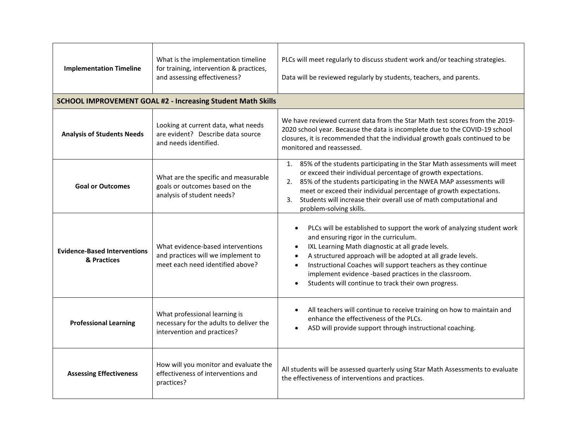| <b>Implementation Timeline</b>                     | What is the implementation timeline<br>for training, intervention & practices,<br>and assessing effectiveness? | PLCs will meet regularly to discuss student work and/or teaching strategies.<br>Data will be reviewed regularly by students, teachers, and parents.                                                                                                                                                                                                                                                                                                                                 |
|----------------------------------------------------|----------------------------------------------------------------------------------------------------------------|-------------------------------------------------------------------------------------------------------------------------------------------------------------------------------------------------------------------------------------------------------------------------------------------------------------------------------------------------------------------------------------------------------------------------------------------------------------------------------------|
|                                                    | <b>SCHOOL IMPROVEMENT GOAL #2 - Increasing Student Math Skills</b>                                             |                                                                                                                                                                                                                                                                                                                                                                                                                                                                                     |
| <b>Analysis of Students Needs</b>                  | Looking at current data, what needs<br>are evident? Describe data source<br>and needs identified.              | We have reviewed current data from the Star Math test scores from the 2019-<br>2020 school year. Because the data is incomplete due to the COVID-19 school<br>closures, it is recommended that the individual growth goals continued to be<br>monitored and reassessed.                                                                                                                                                                                                             |
| <b>Goal or Outcomes</b>                            | What are the specific and measurable<br>goals or outcomes based on the<br>analysis of student needs?           | 85% of the students participating in the Star Math assessments will meet<br>1.<br>or exceed their individual percentage of growth expectations.<br>2. 85% of the students participating in the NWEA MAP assessments will<br>meet or exceed their individual percentage of growth expectations.<br>Students will increase their overall use of math computational and<br>3.<br>problem-solving skills.                                                                               |
| <b>Evidence-Based Interventions</b><br>& Practices | What evidence-based interventions<br>and practices will we implement to<br>meet each need identified above?    | PLCs will be established to support the work of analyzing student work<br>$\bullet$<br>and ensuring rigor in the curriculum.<br>IXL Learning Math diagnostic at all grade levels.<br>$\bullet$<br>A structured approach will be adopted at all grade levels.<br>$\bullet$<br>Instructional Coaches will support teachers as they continue<br>$\bullet$<br>implement evidence -based practices in the classroom.<br>Students will continue to track their own progress.<br>$\bullet$ |
| <b>Professional Learning</b>                       | What professional learning is<br>necessary for the adults to deliver the<br>intervention and practices?        | All teachers will continue to receive training on how to maintain and<br>$\bullet$<br>enhance the effectiveness of the PLCs.<br>ASD will provide support through instructional coaching.<br>$\bullet$                                                                                                                                                                                                                                                                               |
| <b>Assessing Effectiveness</b>                     | How will you monitor and evaluate the<br>effectiveness of interventions and<br>practices?                      | All students will be assessed quarterly using Star Math Assessments to evaluate<br>the effectiveness of interventions and practices.                                                                                                                                                                                                                                                                                                                                                |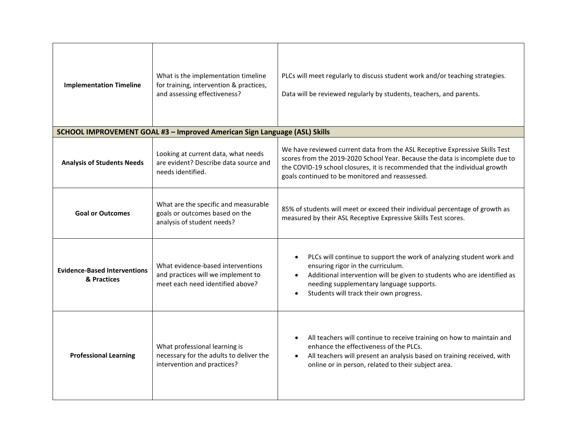| <b>Implementation Timeline</b>                     | What is the implementation timeline<br>for training, intervention & practices,<br>and assessing effectiveness? | PLCs will meet regularly to discuss student work and/or teaching strategies.<br>Data will be reviewed regularly by students, teachers, and parents.                                                                                                                                                                |
|----------------------------------------------------|----------------------------------------------------------------------------------------------------------------|--------------------------------------------------------------------------------------------------------------------------------------------------------------------------------------------------------------------------------------------------------------------------------------------------------------------|
|                                                    | SCHOOL IMPROVEMENT GOAL #3 - Improved American Sign Language (ASL) Skills                                      |                                                                                                                                                                                                                                                                                                                    |
| <b>Analysis of Students Needs</b>                  | Looking at current data, what needs<br>are evident? Describe data source and<br>needs identified.              | We have reviewed current data from the ASL Receptive Expressive Skills Test<br>scores from the 2019-2020 School Year. Because the data is incomplete due to<br>the COVID-19 school closures, it is recommended that the individual growth<br>goals continued to be monitored and reassessed.                       |
| <b>Goal or Outcomes</b>                            | What are the specific and measurable<br>goals or outcomes based on the<br>analysis of student needs?           | 85% of students will meet or exceed their individual percentage of growth as<br>measured by their ASL Receptive Expressive Skills Test scores.                                                                                                                                                                     |
| <b>Evidence-Based Interventions</b><br>& Practices | What evidence-based interventions<br>and practices will we implement to<br>meet each need identified above?    | PLCs will continue to support the work of analyzing student work and<br>$\bullet$<br>ensuring rigor in the curriculum.<br>Additional intervention will be given to students who are identified as<br>$\bullet$<br>needing supplementary language supports.<br>Students will track their own progress.<br>$\bullet$ |
| <b>Professional Learning</b>                       | What professional learning is<br>necessary for the adults to deliver the<br>intervention and practices?        | All teachers will continue to receive training on how to maintain and<br>enhance the effectiveness of the PLCs.<br>All teachers will present an analysis based on training received, with<br>online or in person, related to their subject area.                                                                   |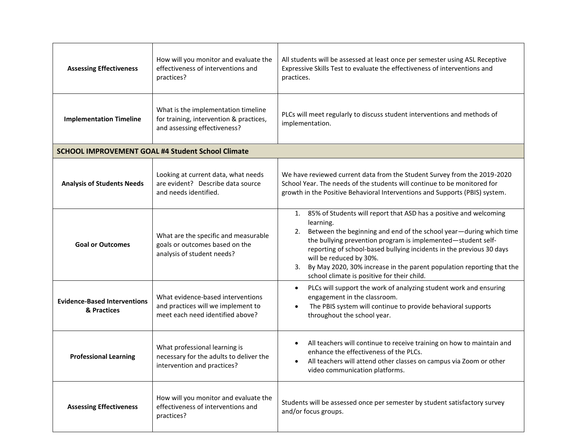| <b>Assessing Effectiveness</b>                     | How will you monitor and evaluate the<br>effectiveness of interventions and<br>practices?                      | All students will be assessed at least once per semester using ASL Receptive<br>Expressive Skills Test to evaluate the effectiveness of interventions and<br>practices.                                                                                                                                                                                                                                                                                        |
|----------------------------------------------------|----------------------------------------------------------------------------------------------------------------|----------------------------------------------------------------------------------------------------------------------------------------------------------------------------------------------------------------------------------------------------------------------------------------------------------------------------------------------------------------------------------------------------------------------------------------------------------------|
| <b>Implementation Timeline</b>                     | What is the implementation timeline<br>for training, intervention & practices,<br>and assessing effectiveness? | PLCs will meet regularly to discuss student interventions and methods of<br>implementation.                                                                                                                                                                                                                                                                                                                                                                    |
|                                                    | <b>SCHOOL IMPROVEMENT GOAL #4 Student School Climate</b>                                                       |                                                                                                                                                                                                                                                                                                                                                                                                                                                                |
| <b>Analysis of Students Needs</b>                  | Looking at current data, what needs<br>are evident? Describe data source<br>and needs identified.              | We have reviewed current data from the Student Survey from the 2019-2020<br>School Year. The needs of the students will continue to be monitored for<br>growth in the Positive Behavioral Interventions and Supports (PBIS) system.                                                                                                                                                                                                                            |
| <b>Goal or Outcomes</b>                            | What are the specific and measurable<br>goals or outcomes based on the<br>analysis of student needs?           | 1. 85% of Students will report that ASD has a positive and welcoming<br>learning.<br>Between the beginning and end of the school year-during which time<br>2.<br>the bullying prevention program is implemented-student self-<br>reporting of school-based bullying incidents in the previous 30 days<br>will be reduced by 30%.<br>By May 2020, 30% increase in the parent population reporting that the<br>3.<br>school climate is positive for their child. |
| <b>Evidence-Based Interventions</b><br>& Practices | What evidence-based interventions<br>and practices will we implement to<br>meet each need identified above?    | PLCs will support the work of analyzing student work and ensuring<br>$\bullet$<br>engagement in the classroom.<br>The PBIS system will continue to provide behavioral supports<br>$\bullet$<br>throughout the school year.                                                                                                                                                                                                                                     |
| <b>Professional Learning</b>                       | What professional learning is<br>necessary for the adults to deliver the<br>intervention and practices?        | All teachers will continue to receive training on how to maintain and<br>$\bullet$<br>enhance the effectiveness of the PLCs.<br>All teachers will attend other classes on campus via Zoom or other<br>video communication platforms.                                                                                                                                                                                                                           |
| <b>Assessing Effectiveness</b>                     | How will you monitor and evaluate the<br>effectiveness of interventions and<br>practices?                      | Students will be assessed once per semester by student satisfactory survey<br>and/or focus groups.                                                                                                                                                                                                                                                                                                                                                             |